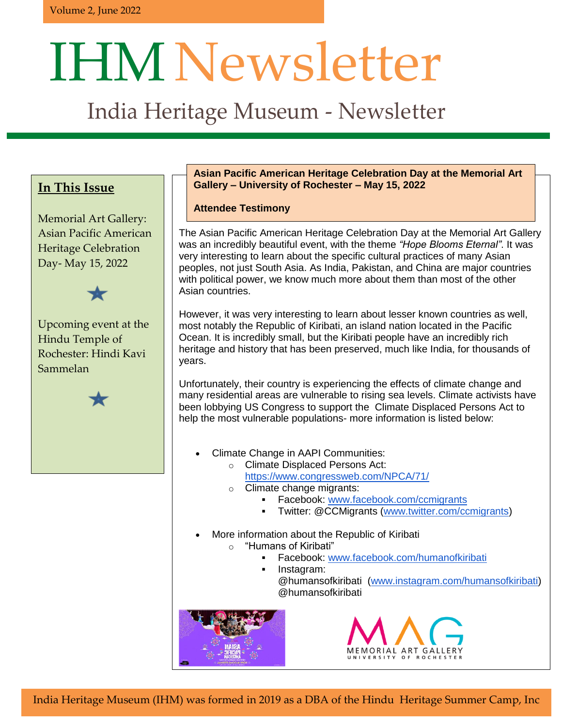# IHMNewsletter

# India Heritage Museum - Newsletter

### **In This Issue**

Memorial Art Gallery: Asian Pacific American Heritage Celebration Day- May 15, 2022



Upcoming event at the Hindu Temple of Rochester: Hindi Kavi Sammelan



Heritage Summer Camp, Inc.

Heritage Summer Camp, Inc.

#### **Asian Pacific American Heritage Celebration Day at the Memorial Art Gallery – University of Rochester – May 15, 2022**

#### **Attendee Testimony**

The Asian Pacific American Heritage Celebration Day at the Memorial Art Gallery was an incredibly beautiful event, with the theme *"Hope Blooms Eternal"*. It was very interesting to learn about the specific cultural practices of many Asian peoples, not just South Asia. As India, Pakistan, and China are major countries with political power, we know much more about them than most of the other Asian countries.

However, it was very interesting to learn about lesser known countries as well, most notably the Republic of Kiribati, an island nation located in the Pacific Ocean. It is incredibly small, but the Kiribati people have an incredibly rich heritage and history that has been preserved, much like India, for thousands of years.

Unfortunately, their country is experiencing the effects of climate change and many residential areas are vulnerable to rising sea levels. Climate activists have been lobbying US Congress to support the Climate Displaced Persons Act to help the most vulnerable populations- more information is listed below:

- Climate Change in AAPI Communities:
	- o Climate Displaced Persons Act: <https://www.congressweb.com/NPCA/71/>
	- o Climate change migrants:
		- Facebook: [www.facebook.com/ccmigrants](http://www.facebook.com/ccmigrants)
		- Twitter: @CCMigrants [\(www.twitter.com/ccmigrants\)](http://www.twitter.com/ccmigrants)
- **India Hermitage More information about the Republic of Kiribati** 
	- o "Humans of Kiribati"
		- Facebook: [www.facebook.com/humanofkiribati](http://www.facebook.com/humanofkiribati)
- India Heritage Museum (IHM) was formed in 2019 as  $\blacksquare$  as a DBA of the Hinduitz  $\blacksquare$  Instagram: @humansofkiribati [\(www.instagram.com/humansofkiribati\)](http://www.instagram.com/humansofkiribati) @humansofkiribati